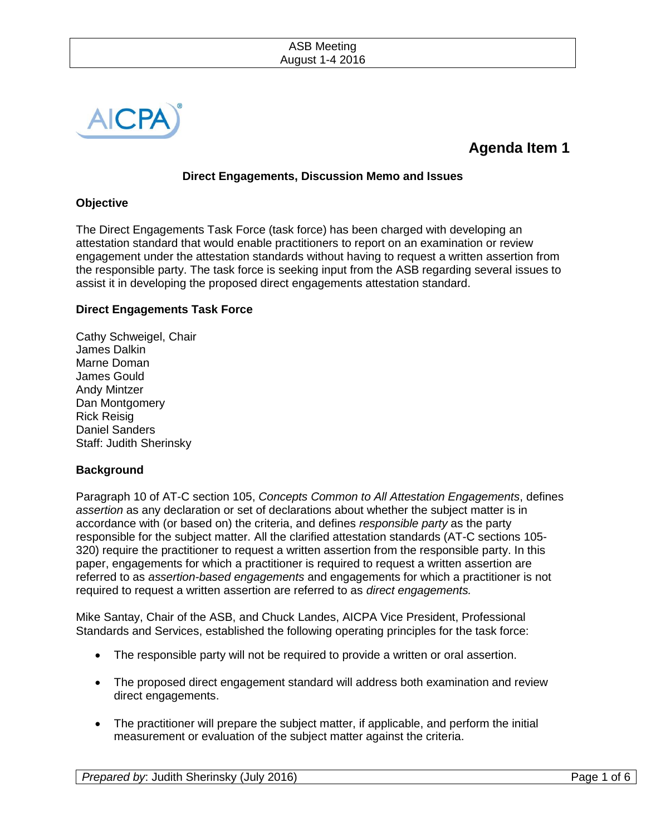| <b>ASB Meeting</b> |  |
|--------------------|--|
| August 1-4 2016    |  |



# **Agenda Item 1**

## **Direct Engagements, Discussion Memo and Issues**

## **Objective**

The Direct Engagements Task Force (task force) has been charged with developing an attestation standard that would enable practitioners to report on an examination or review engagement under the attestation standards without having to request a written assertion from the responsible party. The task force is seeking input from the ASB regarding several issues to assist it in developing the proposed direct engagements attestation standard.

# **Direct Engagements Task Force**

Cathy Schweigel, Chair James Dalkin Marne Doman James Gould Andy Mintzer Dan Montgomery Rick Reisig Daniel Sanders Staff: Judith Sherinsky

## **Background**

Paragraph 10 of AT-C section 105, *Concepts Common to All Attestation Engagements*, defines *assertion* as any declaration or set of declarations about whether the subject matter is in accordance with (or based on) the criteria, and defines *responsible party* as the party responsible for the subject matter. All the clarified attestation standards (AT-C sections 105- 320) require the practitioner to request a written assertion from the responsible party. In this paper, engagements for which a practitioner is required to request a written assertion are referred to as *assertion-based engagements* and engagements for which a practitioner is not required to request a written assertion are referred to as *direct engagements.*

Mike Santay, Chair of the ASB, and Chuck Landes, AICPA Vice President, Professional Standards and Services, established the following operating principles for the task force:

- The responsible party will not be required to provide a written or oral assertion.
- The proposed direct engagement standard will address both examination and review direct engagements.
- The practitioner will prepare the subject matter, if applicable, and perform the initial measurement or evaluation of the subject matter against the criteria.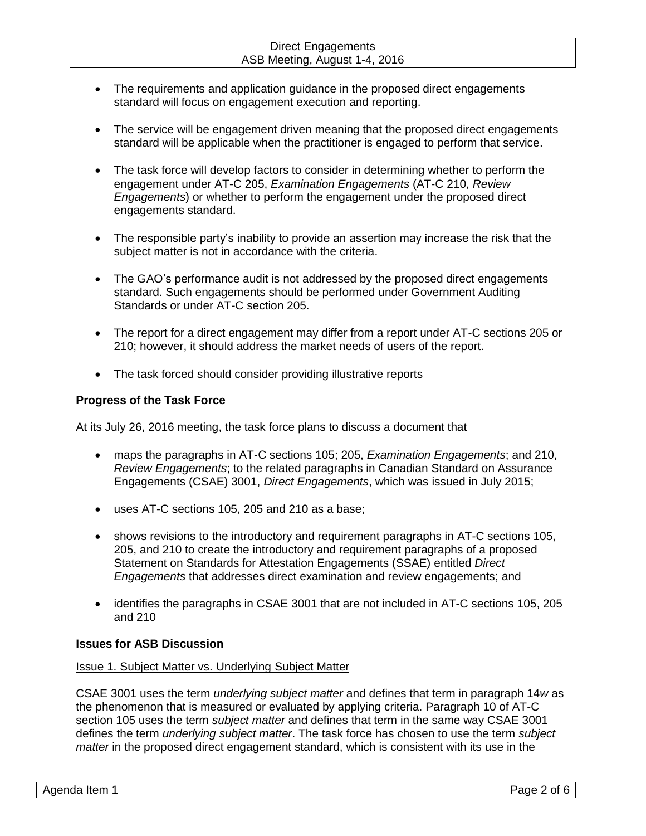- The requirements and application guidance in the proposed direct engagements standard will focus on engagement execution and reporting.
- The service will be engagement driven meaning that the proposed direct engagements standard will be applicable when the practitioner is engaged to perform that service.
- The task force will develop factors to consider in determining whether to perform the engagement under AT-C 205, *Examination Engagements* (AT-C 210, *Review Engagements*) or whether to perform the engagement under the proposed direct engagements standard.
- The responsible party's inability to provide an assertion may increase the risk that the subject matter is not in accordance with the criteria.
- The GAO's performance audit is not addressed by the proposed direct engagements standard. Such engagements should be performed under Government Auditing Standards or under AT-C section 205.
- The report for a direct engagement may differ from a report under AT-C sections 205 or 210; however, it should address the market needs of users of the report.
- The task forced should consider providing illustrative reports

# **Progress of the Task Force**

At its July 26, 2016 meeting, the task force plans to discuss a document that

- maps the paragraphs in AT-C sections 105; 205, *Examination Engagements*; and 210, *Review Engagements*; to the related paragraphs in Canadian Standard on Assurance Engagements (CSAE) 3001, *Direct Engagements*, which was issued in July 2015;
- uses AT-C sections 105, 205 and 210 as a base;
- shows revisions to the introductory and requirement paragraphs in AT-C sections 105, 205, and 210 to create the introductory and requirement paragraphs of a proposed Statement on Standards for Attestation Engagements (SSAE) entitled *Direct Engagements* that addresses direct examination and review engagements; and
- identifies the paragraphs in CSAE 3001 that are not included in AT-C sections 105, 205 and 210

## **Issues for ASB Discussion**

## Issue 1. Subject Matter vs. Underlying Subject Matter

CSAE 3001 uses the term *underlying subject matter* and defines that term in paragraph 14*w* as the phenomenon that is measured or evaluated by applying criteria. Paragraph 10 of AT-C section 105 uses the term *subject matter* and defines that term in the same way CSAE 3001 defines the term *underlying subject matter*. The task force has chosen to use the term *subject matter* in the proposed direct engagement standard, which is consistent with its use in the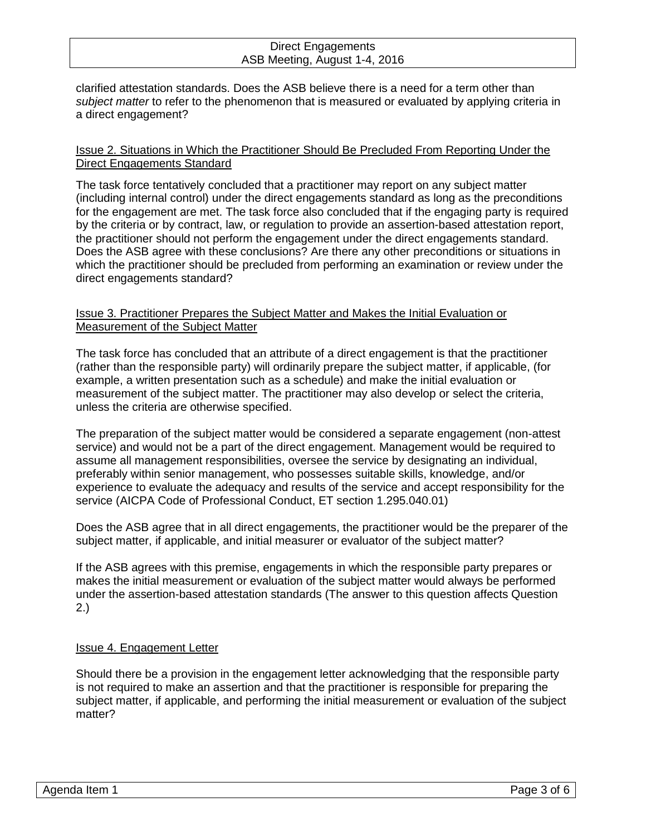clarified attestation standards. Does the ASB believe there is a need for a term other than *subject matter* to refer to the phenomenon that is measured or evaluated by applying criteria in a direct engagement?

## Issue 2. Situations in Which the Practitioner Should Be Precluded From Reporting Under the Direct Engagements Standard

The task force tentatively concluded that a practitioner may report on any subject matter (including internal control) under the direct engagements standard as long as the preconditions for the engagement are met. The task force also concluded that if the engaging party is required by the criteria or by contract, law, or regulation to provide an assertion-based attestation report, the practitioner should not perform the engagement under the direct engagements standard. Does the ASB agree with these conclusions? Are there any other preconditions or situations in which the practitioner should be precluded from performing an examination or review under the direct engagements standard?

## Issue 3. Practitioner Prepares the Subject Matter and Makes the Initial Evaluation or Measurement of the Subject Matter

The task force has concluded that an attribute of a direct engagement is that the practitioner (rather than the responsible party) will ordinarily prepare the subject matter, if applicable, (for example, a written presentation such as a schedule) and make the initial evaluation or measurement of the subject matter. The practitioner may also develop or select the criteria, unless the criteria are otherwise specified.

The preparation of the subject matter would be considered a separate engagement (non-attest service) and would not be a part of the direct engagement. Management would be required to assume all management responsibilities, oversee the service by designating an individual, preferably within senior management, who possesses suitable skills, knowledge, and/or experience to evaluate the adequacy and results of the service and accept responsibility for the service (AICPA Code of Professional Conduct, ET section 1.295.040.01)

Does the ASB agree that in all direct engagements, the practitioner would be the preparer of the subject matter, if applicable, and initial measurer or evaluator of the subject matter?

If the ASB agrees with this premise, engagements in which the responsible party prepares or makes the initial measurement or evaluation of the subject matter would always be performed under the assertion-based attestation standards (The answer to this question affects Question 2.)

## Issue 4. Engagement Letter

Should there be a provision in the engagement letter acknowledging that the responsible party is not required to make an assertion and that the practitioner is responsible for preparing the subject matter, if applicable, and performing the initial measurement or evaluation of the subject matter?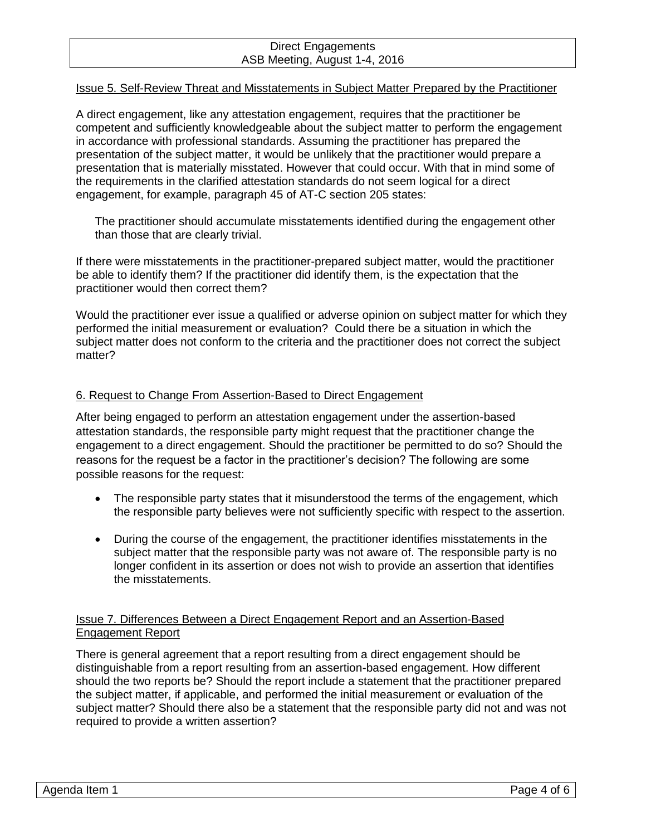## Issue 5. Self-Review Threat and Misstatements in Subject Matter Prepared by the Practitioner

A direct engagement, like any attestation engagement, requires that the practitioner be competent and sufficiently knowledgeable about the subject matter to perform the engagement in accordance with professional standards. Assuming the practitioner has prepared the presentation of the subject matter, it would be unlikely that the practitioner would prepare a presentation that is materially misstated. However that could occur. With that in mind some of the requirements in the clarified attestation standards do not seem logical for a direct engagement, for example, paragraph 45 of AT-C section 205 states:

The practitioner should accumulate misstatements identified during the engagement other than those that are clearly trivial.

If there were misstatements in the practitioner-prepared subject matter, would the practitioner be able to identify them? If the practitioner did identify them, is the expectation that the practitioner would then correct them?

Would the practitioner ever issue a qualified or adverse opinion on subject matter for which they performed the initial measurement or evaluation? Could there be a situation in which the subject matter does not conform to the criteria and the practitioner does not correct the subject matter?

## 6. Request to Change From Assertion-Based to Direct Engagement

After being engaged to perform an attestation engagement under the assertion-based attestation standards, the responsible party might request that the practitioner change the engagement to a direct engagement. Should the practitioner be permitted to do so? Should the reasons for the request be a factor in the practitioner's decision? The following are some possible reasons for the request:

- The responsible party states that it misunderstood the terms of the engagement, which the responsible party believes were not sufficiently specific with respect to the assertion.
- During the course of the engagement, the practitioner identifies misstatements in the subject matter that the responsible party was not aware of. The responsible party is no longer confident in its assertion or does not wish to provide an assertion that identifies the misstatements.

## Issue 7. Differences Between a Direct Engagement Report and an Assertion-Based Engagement Report

There is general agreement that a report resulting from a direct engagement should be distinguishable from a report resulting from an assertion-based engagement. How different should the two reports be? Should the report include a statement that the practitioner prepared the subject matter, if applicable, and performed the initial measurement or evaluation of the subject matter? Should there also be a statement that the responsible party did not and was not required to provide a written assertion?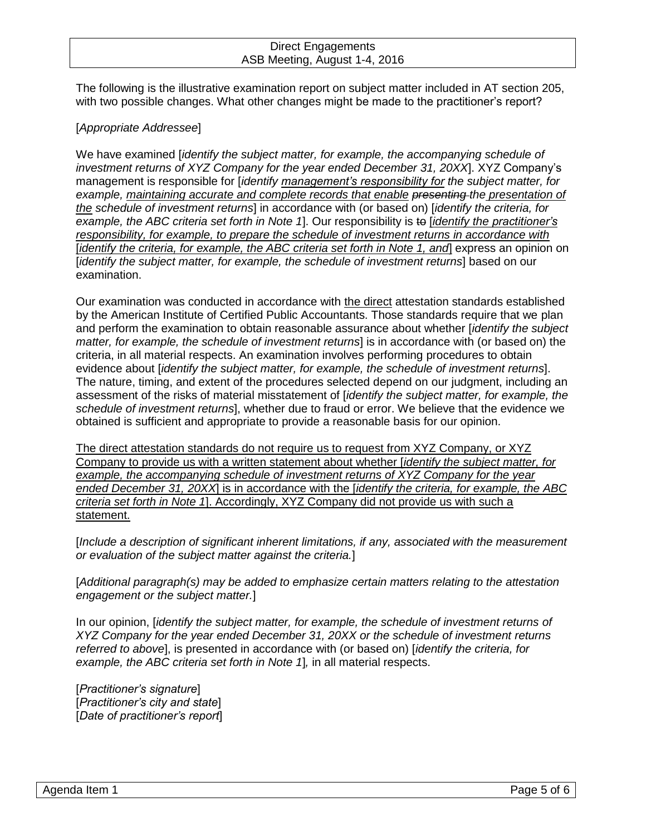The following is the illustrative examination report on subject matter included in AT section 205, with two possible changes. What other changes might be made to the practitioner's report?

## [*Appropriate Addressee*]

We have examined [*identify the subject matter, for example, the accompanying schedule of investment returns of XYZ Company for the year ended December 31, 20XX*]. XYZ Company's management is responsible for [*identify management's responsibility for the subject matter, for example, maintaining accurate and complete records that enable presenting the presentation of the schedule of investment returns*] in accordance with (or based on) [*identify the criteria, for example, the ABC criteria set forth in Note 1*]. Our responsibility is to [*identify the practitioner's responsibility, for example, to prepare the schedule of investment returns in accordance with*  [*identify the criteria, for example, the ABC criteria set forth in Note 1, and*] express an opinion on [*identify the subject matter, for example, the schedule of investment returns*] based on our examination.

Our examination was conducted in accordance with the direct attestation standards established by the American Institute of Certified Public Accountants. Those standards require that we plan and perform the examination to obtain reasonable assurance about whether [*identify the subject matter, for example, the schedule of investment returns*] is in accordance with (or based on) the criteria, in all material respects. An examination involves performing procedures to obtain evidence about [*identify the subject matter, for example, the schedule of investment returns*]. The nature, timing, and extent of the procedures selected depend on our judgment, including an assessment of the risks of material misstatement of [*identify the subject matter, for example, the schedule of investment returns*], whether due to fraud or error. We believe that the evidence we obtained is sufficient and appropriate to provide a reasonable basis for our opinion.

The direct attestation standards do not require us to request from XYZ Company, or XYZ Company to provide us with a written statement about whether [*identify the subject matter, for example, the accompanying schedule of investment returns of XYZ Company for the year ended December 31, 20XX*] is in accordance with the [*identify the criteria, for example, the ABC criteria set forth in Note 1*]. Accordingly, XYZ Company did not provide us with such a statement.

[*Include a description of significant inherent limitations, if any, associated with the measurement or evaluation of the subject matter against the criteria.*]

[*Additional paragraph(s) may be added to emphasize certain matters relating to the attestation engagement or the subject matter.*]

In our opinion, [*identify the subject matter, for example, the schedule of investment returns of XYZ Company for the year ended December 31, 20XX or the schedule of investment returns referred to above*], is presented in accordance with (or based on) [*identify the criteria, for example, the ABC criteria set forth in Note 1*]*,* in all material respects.

[*Practitioner's signature*] [*Practitioner's city and state*] [*Date of practitioner's report*]